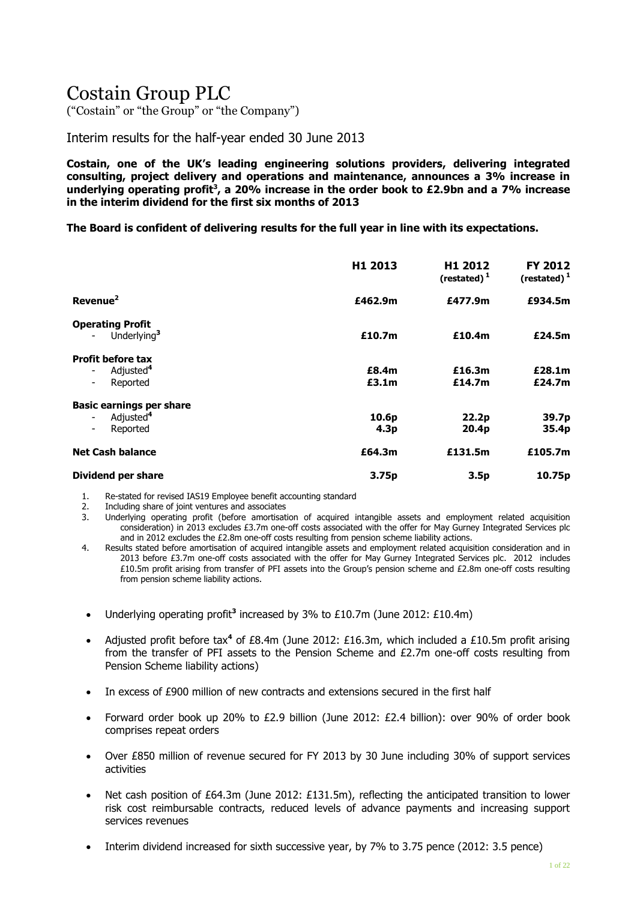# Costain Group PLC

("Costain" or "the Group" or "the Company")

Interim results for the half-year ended 30 June 2013

**Costain, one of the UK's leading engineering solutions providers, delivering integrated consulting, project delivery and operations and maintenance, announces a 3% increase in underlying operating profit<sup>3</sup> , a 20% increase in the order book to £2.9bn and a 7% increase in the interim dividend for the first six months of 2013**

**The Board is confident of delivering results for the full year in line with its expectations.**

|                                                   | H1 2013 | H1 2012<br>(restated) $1$ | FY 2012<br>(restated) $1$ |
|---------------------------------------------------|---------|---------------------------|---------------------------|
| Revenue <sup>2</sup>                              | £462.9m | £477.9m                   | £934.5m                   |
| <b>Operating Profit</b>                           |         |                           |                           |
| Underlying <sup>3</sup>                           | £10.7m  | £10.4m                    | £24.5m                    |
| <b>Profit before tax</b>                          |         |                           |                           |
| Adjusted <sup>4</sup>                             | £8.4m   | £16.3m                    | £28.1m                    |
| Reported<br>$\overline{\phantom{a}}$              | £3.1m   | £14.7m                    | £24.7m                    |
| <b>Basic earnings per share</b>                   |         |                           |                           |
| Adjusted <sup>4</sup><br>$\overline{\phantom{a}}$ | 10.6p   | 22.2p                     | 39.7p                     |
| Reported<br>$\overline{\phantom{a}}$              | 4.3p    | 20.4 <sub>p</sub>         | 35.4p                     |
| <b>Net Cash balance</b>                           | £64.3m  | £131.5m                   | £105.7m                   |
| <b>Dividend per share</b>                         | 3.75p   | 3.5p                      | 10.75p                    |

1. Re-stated for revised IAS19 Employee benefit accounting standard

2. Including share of joint ventures and associates<br>3. Underlying operating profit (before amortisation

3. Underlying operating profit (before amortisation of acquired intangible assets and employment related acquisition consideration) in 2013 excludes £3.7m one-off costs associated with the offer for May Gurney Integrated Services plc and in 2012 excludes the £2.8m one-off costs resulting from pension scheme liability actions.

- 4. Results stated before amortisation of acquired intangible assets and employment related acquisition consideration and in 2013 before £3.7m one-off costs associated with the offer for May Gurney Integrated Services plc. 2012 includes £10.5m profit arising from transfer of PFI assets into the Group's pension scheme and £2.8m one-off costs resulting from pension scheme liability actions.
- Underlying operating profit<sup>3</sup> increased by 3% to £10.7m (June 2012: £10.4m)
- Adjusted profit before tax**<sup>4</sup>** of £8.4m (June 2012: £16.3m, which included a £10.5m profit arising from the transfer of PFI assets to the Pension Scheme and £2.7m one-off costs resulting from Pension Scheme liability actions)
- In excess of £900 million of new contracts and extensions secured in the first half
- Forward order book up 20% to £2.9 billion (June 2012: £2.4 billion): over 90% of order book comprises repeat orders
- Over £850 million of revenue secured for FY 2013 by 30 June including 30% of support services activities
- Net cash position of £64.3m (June 2012: £131.5m), reflecting the anticipated transition to lower risk cost reimbursable contracts, reduced levels of advance payments and increasing support services revenues
- Interim dividend increased for sixth successive year, by 7% to 3.75 pence (2012: 3.5 pence)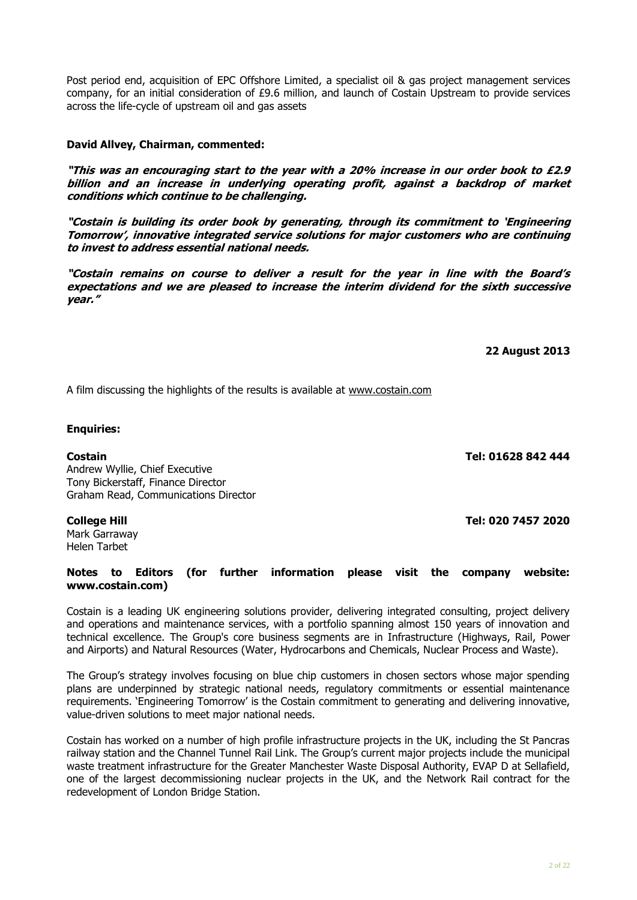Post period end, acquisition of EPC Offshore Limited, a specialist oil & gas project management services company, for an initial consideration of £9.6 million, and launch of Costain Upstream to provide services across the life-cycle of upstream oil and gas assets

#### **David Allvey, Chairman, commented:**

**"This was an encouraging start to the year with a 20% increase in our order book to £2.9 billion and an increase in underlying operating profit, against a backdrop of market conditions which continue to be challenging.**

**"Costain is building its order book by generating, through its commitment to 'Engineering Tomorrow', innovative integrated service solutions for major customers who are continuing to invest to address essential national needs.** 

**"Costain remains on course to deliver a result for the year in line with the Board's expectations and we are pleased to increase the interim dividend for the sixth successive year."**

**22 August 2013**

A film discussing the highlights of the results is available at [www.costain.com](http://www.costain.com/)

#### **Enquiries:**

Andrew Wyllie, Chief Executive Tony Bickerstaff, Finance Director Graham Read, Communications Director

Mark Garraway Helen Tarbet

#### **Notes to Editors (for further information please visit the company website: [www.costain.com\)](http://www.poseidonplc.com/)**

Costain is a leading UK engineering solutions provider, delivering integrated consulting, project delivery and operations and maintenance services, with a portfolio spanning almost 150 years of innovation and technical excellence. The Group's core business segments are in Infrastructure (Highways, Rail, Power and Airports) and Natural Resources (Water, Hydrocarbons and Chemicals, Nuclear Process and Waste).

The Group's strategy involves focusing on blue chip customers in chosen sectors whose major spending plans are underpinned by strategic national needs, regulatory commitments or essential maintenance requirements. 'Engineering Tomorrow' is the Costain commitment to generating and delivering innovative, value-driven solutions to meet major national needs.

Costain has worked on a number of high profile infrastructure projects in the UK, including the St Pancras railway station and the Channel Tunnel Rail Link. The Group's current major projects include the municipal waste treatment infrastructure for the Greater Manchester Waste Disposal Authority, EVAP D at Sellafield, one of the largest decommissioning nuclear projects in the UK, and the Network Rail contract for the redevelopment of London Bridge Station.

**Costain Tel: 01628 842 444**

**College Hill Tel: 020 7457 2020**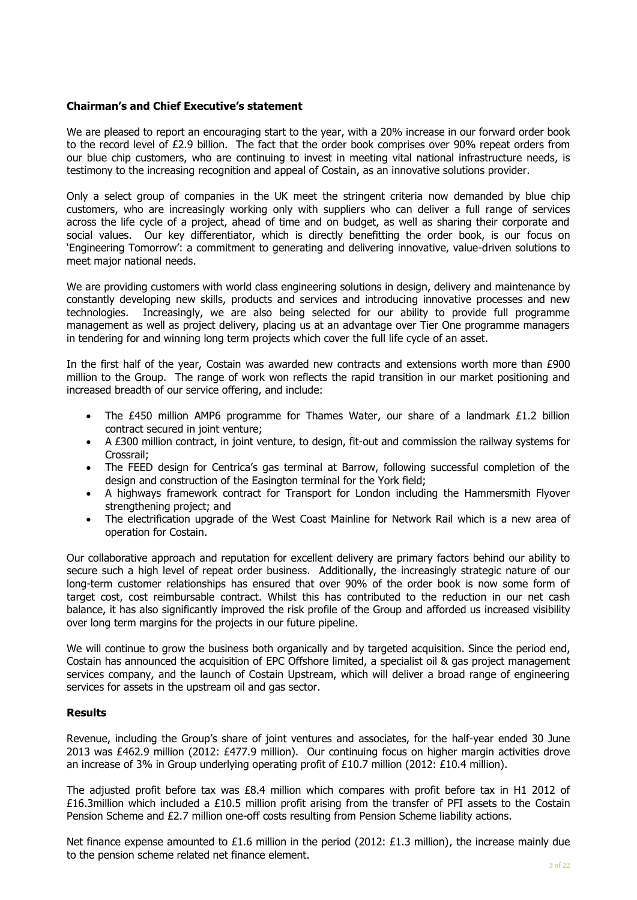#### **Chairman's and Chief Executive's statement**

We are pleased to report an encouraging start to the year, with a 20% increase in our forward order book to the record level of £2.9 billion. The fact that the order book comprises over 90% repeat orders from our blue chip customers, who are continuing to invest in meeting vital national infrastructure needs, is testimony to the increasing recognition and appeal of Costain, as an innovative solutions provider.

Only a select group of companies in the UK meet the stringent criteria now demanded by blue chip customers, who are increasingly working only with suppliers who can deliver a full range of services across the life cycle of a project, ahead of time and on budget, as well as sharing their corporate and social values. Our key differentiator, which is directly benefitting the order book, is our focus on 'Engineering Tomorrow': a commitment to generating and delivering innovative, value-driven solutions to meet major national needs.

We are providing customers with world class engineering solutions in design, delivery and maintenance by constantly developing new skills, products and services and introducing innovative processes and new technologies. Increasingly, we are also being selected for our ability to provide full programme management as well as project delivery, placing us at an advantage over Tier One programme managers in tendering for and winning long term projects which cover the full life cycle of an asset.

In the first half of the year, Costain was awarded new contracts and extensions worth more than £900 million to the Group. The range of work won reflects the rapid transition in our market positioning and increased breadth of our service offering, and include:

- The £450 million AMP6 programme for Thames Water, our share of a landmark £1.2 billion contract secured in joint venture;
- A £300 million contract, in joint venture, to design, fit-out and commission the railway systems for Crossrail;
- The FEED design for Centrica's gas terminal at Barrow, following successful completion of the design and construction of the Easington terminal for the York field;
- A highways framework contract for Transport for London including the Hammersmith Flyover strengthening project; and
- The electrification upgrade of the West Coast Mainline for Network Rail which is a new area of operation for Costain.

Our collaborative approach and reputation for excellent delivery are primary factors behind our ability to secure such a high level of repeat order business. Additionally, the increasingly strategic nature of our long-term customer relationships has ensured that over 90% of the order book is now some form of target cost, cost reimbursable contract. Whilst this has contributed to the reduction in our net cash balance, it has also significantly improved the risk profile of the Group and afforded us increased visibility over long term margins for the projects in our future pipeline.

We will continue to grow the business both organically and by targeted acquisition. Since the period end, Costain has announced the acquisition of EPC Offshore limited, a specialist oil & gas project management services company, and the launch of Costain Upstream, which will deliver a broad range of engineering services for assets in the upstream oil and gas sector.

#### **Results**

Revenue, including the Group's share of joint ventures and associates, for the half-year ended 30 June 2013 was £462.9 million (2012: £477.9 million). Our continuing focus on higher margin activities drove an increase of 3% in Group underlying operating profit of £10.7 million (2012: £10.4 million).

The adjusted profit before tax was £8.4 million which compares with profit before tax in H1 2012 of £16.3million which included a £10.5 million profit arising from the transfer of PFI assets to the Costain Pension Scheme and £2.7 million one-off costs resulting from Pension Scheme liability actions.

Net finance expense amounted to £1.6 million in the period (2012: £1.3 million), the increase mainly due to the pension scheme related net finance element.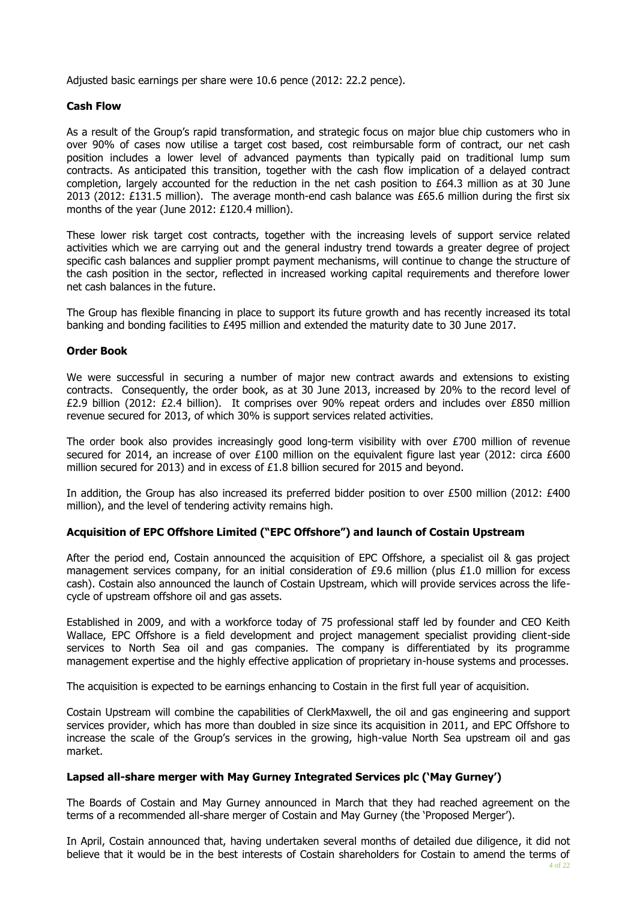Adjusted basic earnings per share were 10.6 pence (2012: 22.2 pence).

#### **Cash Flow**

As a result of the Group's rapid transformation, and strategic focus on major blue chip customers who in over 90% of cases now utilise a target cost based, cost reimbursable form of contract, our net cash position includes a lower level of advanced payments than typically paid on traditional lump sum contracts. As anticipated this transition, together with the cash flow implication of a delayed contract completion, largely accounted for the reduction in the net cash position to £64.3 million as at 30 June 2013 (2012: £131.5 million). The average month-end cash balance was £65.6 million during the first six months of the year (June 2012: £120.4 million).

These lower risk target cost contracts, together with the increasing levels of support service related activities which we are carrying out and the general industry trend towards a greater degree of project specific cash balances and supplier prompt payment mechanisms, will continue to change the structure of the cash position in the sector, reflected in increased working capital requirements and therefore lower net cash balances in the future.

The Group has flexible financing in place to support its future growth and has recently increased its total banking and bonding facilities to £495 million and extended the maturity date to 30 June 2017.

#### **Order Book**

We were successful in securing a number of major new contract awards and extensions to existing contracts. Consequently, the order book, as at 30 June 2013, increased by 20% to the record level of £2.9 billion (2012: £2.4 billion). It comprises over 90% repeat orders and includes over £850 million revenue secured for 2013, of which 30% is support services related activities.

The order book also provides increasingly good long-term visibility with over £700 million of revenue secured for 2014, an increase of over £100 million on the equivalent figure last year (2012: circa £600 million secured for 2013) and in excess of £1.8 billion secured for 2015 and beyond.

In addition, the Group has also increased its preferred bidder position to over £500 million (2012: £400 million), and the level of tendering activity remains high.

#### **Acquisition of EPC Offshore Limited ("EPC Offshore") and launch of Costain Upstream**

After the period end, Costain announced the acquisition of EPC Offshore, a specialist oil & gas project management services company, for an initial consideration of £9.6 million (plus £1.0 million for excess cash). Costain also announced the launch of Costain Upstream, which will provide services across the lifecycle of upstream offshore oil and gas assets.

Established in 2009, and with a workforce today of 75 professional staff led by founder and CEO Keith Wallace, EPC Offshore is a field development and project management specialist providing client-side services to North Sea oil and gas companies. The company is differentiated by its programme management expertise and the highly effective application of proprietary in-house systems and processes.

The acquisition is expected to be earnings enhancing to Costain in the first full year of acquisition.

Costain Upstream will combine the capabilities of ClerkMaxwell, the oil and gas engineering and support services provider, which has more than doubled in size since its acquisition in 2011, and EPC Offshore to increase the scale of the Group's services in the growing, high-value North Sea upstream oil and gas market.

#### **Lapsed all-share merger with May Gurney Integrated Services plc ('May Gurney')**

The Boards of Costain and May Gurney announced in March that they had reached agreement on the terms of a recommended all-share merger of Costain and May Gurney (the 'Proposed Merger').

In April, Costain announced that, having undertaken several months of detailed due diligence, it did not believe that it would be in the best interests of Costain shareholders for Costain to amend the terms of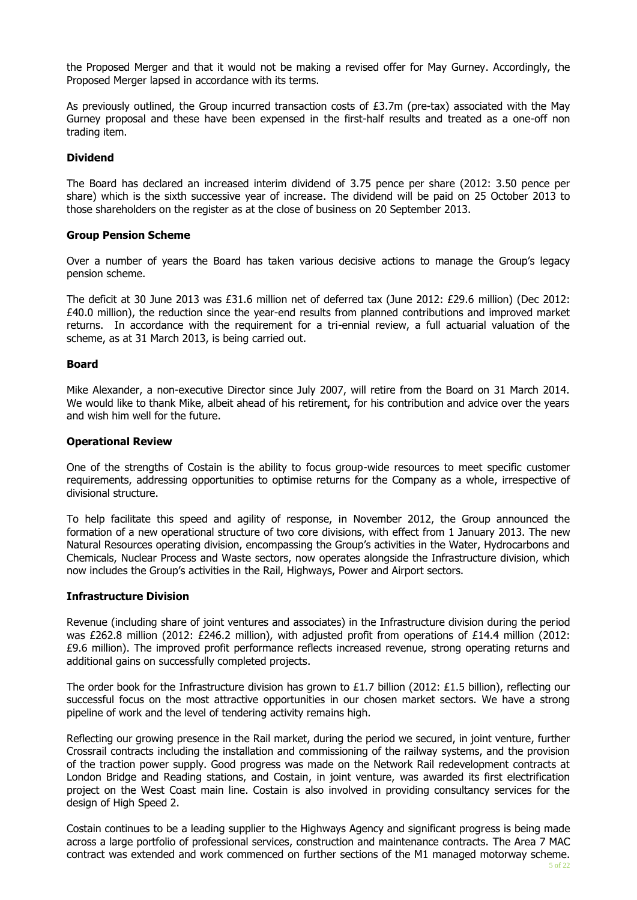the Proposed Merger and that it would not be making a revised offer for May Gurney. Accordingly, the Proposed Merger lapsed in accordance with its terms.

As previously outlined, the Group incurred transaction costs of  $£3.7m$  (pre-tax) associated with the May Gurney proposal and these have been expensed in the first-half results and treated as a one-off non trading item.

#### **Dividend**

The Board has declared an increased interim dividend of 3.75 pence per share (2012: 3.50 pence per share) which is the sixth successive year of increase. The dividend will be paid on 25 October 2013 to those shareholders on the register as at the close of business on 20 September 2013.

#### **Group Pension Scheme**

Over a number of years the Board has taken various decisive actions to manage the Group's legacy pension scheme.

The deficit at 30 June 2013 was £31.6 million net of deferred tax (June 2012: £29.6 million) (Dec 2012: £40.0 million), the reduction since the year-end results from planned contributions and improved market returns. In accordance with the requirement for a tri-ennial review, a full actuarial valuation of the scheme, as at 31 March 2013, is being carried out.

#### **Board**

Mike Alexander, a non-executive Director since July 2007, will retire from the Board on 31 March 2014. We would like to thank Mike, albeit ahead of his retirement, for his contribution and advice over the years and wish him well for the future.

#### **Operational Review**

One of the strengths of Costain is the ability to focus group-wide resources to meet specific customer requirements, addressing opportunities to optimise returns for the Company as a whole, irrespective of divisional structure.

To help facilitate this speed and agility of response, in November 2012, the Group announced the formation of a new operational structure of two core divisions, with effect from 1 January 2013. The new Natural Resources operating division, encompassing the Group's activities in the Water, Hydrocarbons and Chemicals, Nuclear Process and Waste sectors, now operates alongside the Infrastructure division, which now includes the Group's activities in the Rail, Highways, Power and Airport sectors.

#### **Infrastructure Division**

Revenue (including share of joint ventures and associates) in the Infrastructure division during the period was £262.8 million (2012: £246.2 million), with adjusted profit from operations of £14.4 million (2012: £9.6 million). The improved profit performance reflects increased revenue, strong operating returns and additional gains on successfully completed projects.

The order book for the Infrastructure division has grown to £1.7 billion (2012: £1.5 billion), reflecting our successful focus on the most attractive opportunities in our chosen market sectors. We have a strong pipeline of work and the level of tendering activity remains high.

Reflecting our growing presence in the Rail market, during the period we secured, in joint venture, further Crossrail contracts including the installation and commissioning of the railway systems, and the provision of the traction power supply. Good progress was made on the Network Rail redevelopment contracts at London Bridge and Reading stations, and Costain, in joint venture, was awarded its first electrification project on the West Coast main line. Costain is also involved in providing consultancy services for the design of High Speed 2.

Costain continues to be a leading supplier to the Highways Agency and significant progress is being made across a large portfolio of professional services, construction and maintenance contracts. The Area 7 MAC contract was extended and work commenced on further sections of the M1 managed motorway scheme.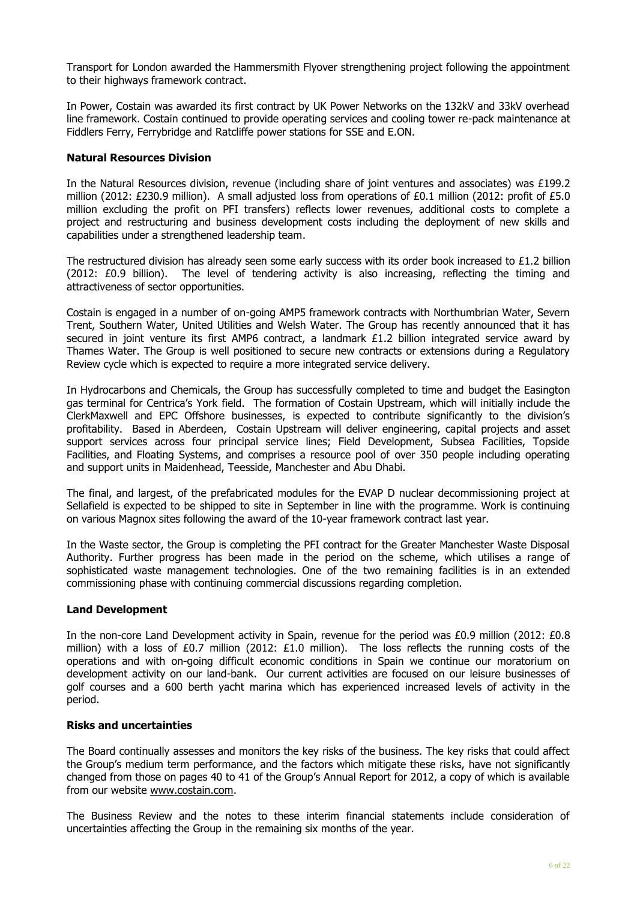Transport for London awarded the Hammersmith Flyover strengthening project following the appointment to their highways framework contract.

In Power, Costain was awarded its first contract by UK Power Networks on the 132kV and 33kV overhead line framework. Costain continued to provide operating services and cooling tower re-pack maintenance at Fiddlers Ferry, Ferrybridge and Ratcliffe power stations for SSE and E.ON.

#### **Natural Resources Division**

In the Natural Resources division, revenue (including share of joint ventures and associates) was £199.2 million (2012: £230.9 million). A small adjusted loss from operations of £0.1 million (2012: profit of £5.0 million excluding the profit on PFI transfers) reflects lower revenues, additional costs to complete a project and restructuring and business development costs including the deployment of new skills and capabilities under a strengthened leadership team.

The restructured division has already seen some early success with its order book increased to  $£1.2$  billion (2012: £0.9 billion). The level of tendering activity is also increasing, reflecting the timing and attractiveness of sector opportunities.

Costain is engaged in a number of on-going AMP5 framework contracts with Northumbrian Water, Severn Trent, Southern Water, United Utilities and Welsh Water. The Group has recently announced that it has secured in joint venture its first AMP6 contract, a landmark £1.2 billion integrated service award by Thames Water. The Group is well positioned to secure new contracts or extensions during a Regulatory Review cycle which is expected to require a more integrated service delivery.

In Hydrocarbons and Chemicals, the Group has successfully completed to time and budget the Easington gas terminal for Centrica's York field. The formation of Costain Upstream, which will initially include the ClerkMaxwell and EPC Offshore businesses, is expected to contribute significantly to the division's profitability. Based in Aberdeen, Costain Upstream will deliver engineering, capital projects and asset support services across four principal service lines; Field Development, Subsea Facilities, Topside Facilities, and Floating Systems, and comprises a resource pool of over 350 people including operating and support units in Maidenhead, Teesside, Manchester and Abu Dhabi.

The final, and largest, of the prefabricated modules for the EVAP D nuclear decommissioning project at Sellafield is expected to be shipped to site in September in line with the programme. Work is continuing on various Magnox sites following the award of the 10-year framework contract last year.

In the Waste sector, the Group is completing the PFI contract for the Greater Manchester Waste Disposal Authority. Further progress has been made in the period on the scheme, which utilises a range of sophisticated waste management technologies. One of the two remaining facilities is in an extended commissioning phase with continuing commercial discussions regarding completion.

#### **Land Development**

In the non-core Land Development activity in Spain, revenue for the period was £0.9 million (2012: £0.8 million) with a loss of £0.7 million (2012: £1.0 million). The loss reflects the running costs of the operations and with on-going difficult economic conditions in Spain we continue our moratorium on development activity on our land-bank. Our current activities are focused on our leisure businesses of golf courses and a 600 berth yacht marina which has experienced increased levels of activity in the period.

#### **Risks and uncertainties**

The Board continually assesses and monitors the key risks of the business. The key risks that could affect the Group's medium term performance, and the factors which mitigate these risks, have not significantly changed from those on pages 40 to 41 of the Group's Annual Report for 2012, a copy of which is available from our website [www.costain.com.](http://www.costain.com/)

The Business Review and the notes to these interim financial statements include consideration of uncertainties affecting the Group in the remaining six months of the year.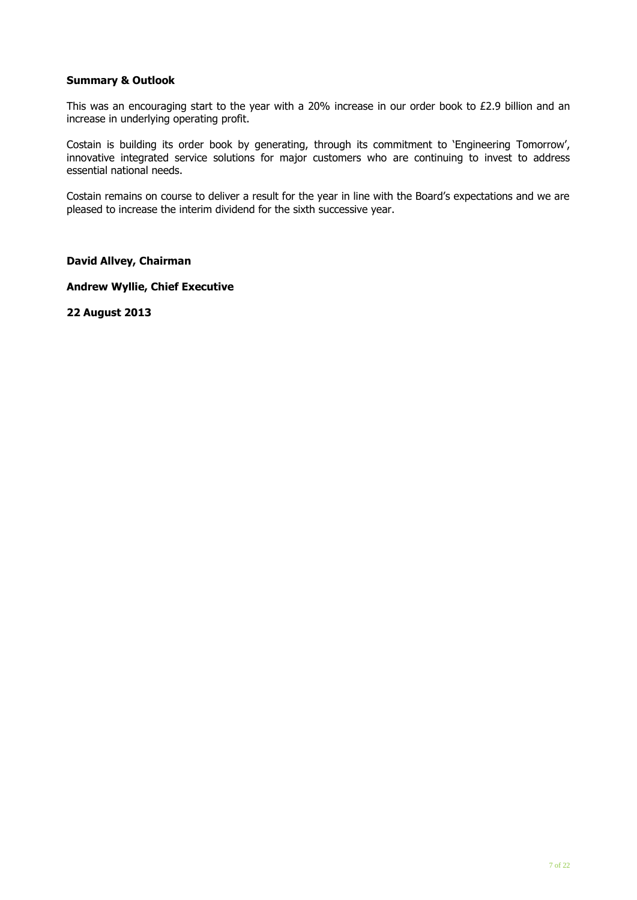#### **Summary & Outlook**

This was an encouraging start to the year with a 20% increase in our order book to £2.9 billion and an increase in underlying operating profit.

Costain is building its order book by generating, through its commitment to 'Engineering Tomorrow', innovative integrated service solutions for major customers who are continuing to invest to address essential national needs.

Costain remains on course to deliver a result for the year in line with the Board's expectations and we are pleased to increase the interim dividend for the sixth successive year.

**David Allvey, Chairman**

**Andrew Wyllie, Chief Executive**

**22 August 2013**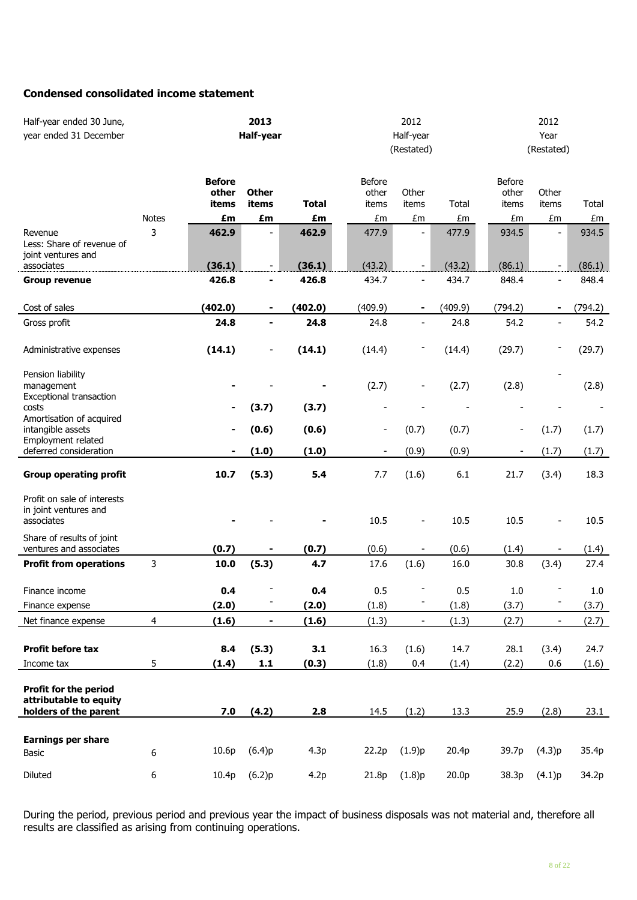#### **Condensed consolidated income statement**

| Half-year ended 30 June,<br>year ended 31 December                       |              | 2013<br>Half-year               |                                                          |                 | 2012<br>Half-year<br>(Restated) |                          | 2012<br>Year<br>(Restated) |                                 |                                  |                 |
|--------------------------------------------------------------------------|--------------|---------------------------------|----------------------------------------------------------|-----------------|---------------------------------|--------------------------|----------------------------|---------------------------------|----------------------------------|-----------------|
|                                                                          |              | <b>Before</b><br>other<br>items | <b>Other</b><br>items                                    | <b>Total</b>    | Before<br>other<br>items        | Other<br>items           | <b>Total</b>               | <b>Before</b><br>other<br>items | Other<br>items                   | Total           |
|                                                                          | <b>Notes</b> | £m                              | £m                                                       | £m              | £m                              | £m                       | £m                         | £m                              | £m                               | £m              |
| Revenue<br>Less: Share of revenue of<br>joint ventures and<br>associates | 3            | 462.9<br>(36.1)                 | $\qquad \qquad \blacksquare$<br>$\overline{\phantom{a}}$ | 462.9<br>(36.1) | 477.9<br>(43.2)                 |                          | 477.9<br>(43.2)            | 934.5<br>(86.1)                 | $\blacksquare$<br>$\blacksquare$ | 934.5<br>(86.1) |
|                                                                          |              | 426.8                           | ۰                                                        | 426.8           | 434.7                           | $\overline{\phantom{a}}$ | 434.7                      | 848.4                           | $\overline{\phantom{a}}$         | 848.4           |
| <b>Group revenue</b>                                                     |              |                                 |                                                          |                 |                                 |                          |                            |                                 |                                  |                 |
| Cost of sales                                                            |              | (402.0)                         | $\blacksquare$                                           | (402.0)         | (409.9)                         | $\blacksquare$           | (409.9)                    | (794.2)                         | $\blacksquare$                   | (794.2)         |
| Gross profit                                                             |              | 24.8                            | ٠                                                        | 24.8            | 24.8                            | $\overline{\phantom{a}}$ | 24.8                       | 54.2                            | $\overline{\phantom{a}}$         | 54.2            |
| Administrative expenses                                                  |              | (14.1)                          |                                                          | (14.1)          | (14.4)                          |                          | (14.4)                     | (29.7)                          |                                  | (29.7)          |
| Pension liability<br>management<br>Exceptional transaction               |              |                                 |                                                          |                 | (2.7)                           |                          | (2.7)                      | (2.8)                           |                                  | (2.8)           |
| costs                                                                    |              |                                 | (3.7)                                                    | (3.7)           |                                 |                          |                            |                                 |                                  |                 |
| Amortisation of acquired<br>intangible assets<br>Employment related      |              |                                 | (0.6)                                                    | (0.6)           | $\qquad \qquad \blacksquare$    | (0.7)                    | (0.7)                      |                                 | (1.7)                            | (1.7)           |
| deferred consideration                                                   |              |                                 | (1.0)                                                    | (1.0)           | $\overline{\phantom{a}}$        | (0.9)                    | (0.9)                      |                                 | (1.7)                            | (1.7)           |
| <b>Group operating profit</b>                                            |              | 10.7                            | (5.3)                                                    | 5.4             | 7.7                             | (1.6)                    | 6.1                        | 21.7                            | (3.4)                            | 18.3            |
| Profit on sale of interests<br>in joint ventures and<br>associates       |              |                                 |                                                          |                 | 10.5                            | ÷                        | 10.5                       | 10.5                            | $\qquad \qquad \blacksquare$     | 10.5            |
| Share of results of joint<br>ventures and associates                     |              | (0.7)                           |                                                          | (0.7)           | (0.6)                           |                          | (0.6)                      | (1.4)                           |                                  | (1.4)           |
| <b>Profit from operations</b>                                            | 3            | 10.0                            | (5.3)                                                    | 4.7             | 17.6                            | (1.6)                    | 16.0                       | 30.8                            | (3.4)                            | 27.4            |
| Finance income                                                           |              | 0.4                             |                                                          | 0.4             | 0.5                             |                          | 0.5                        | 1.0                             |                                  | 1.0             |
| Finance expense                                                          |              | (2.0)                           |                                                          | (2.0)           | (1.8)                           |                          | (1.8)                      | (3.7)                           |                                  | (3.7)           |
| Net finance expense                                                      | 4            | (1.6)                           | ٠                                                        | (1.6)           | (1.3)                           | $\overline{a}$           | (1.3)                      | (2.7)                           | $\qquad \qquad \blacksquare$     | (2.7)           |
| Profit before tax                                                        |              | 8.4                             | (5.3)                                                    | 3.1             | 16.3                            | (1.6)                    | 14.7                       | 28.1                            | (3.4)                            | 24.7            |
| Income tax                                                               | 5            | (1.4)                           | 1.1                                                      | (0.3)           | (1.8)                           | 0.4                      | (1.4)                      | (2.2)                           | 0.6                              | (1.6)           |
| Profit for the period<br>attributable to equity<br>holders of the parent |              | 7.0                             | (4.2)                                                    | 2.8             | 14.5                            | (1.2)                    | 13.3                       | 25.9                            | (2.8)                            | 23.1            |
| <b>Earnings per share</b>                                                |              |                                 |                                                          |                 |                                 |                          |                            |                                 |                                  |                 |
| Basic                                                                    | 6            | 10.6p                           | (6.4)p                                                   | 4.3p            | 22.2p                           | (1.9)p                   | 20.4p                      | 39.7p                           | (4.3)p                           | 35.4p           |
| Diluted                                                                  | 6            | 10.4p                           | (6.2)p                                                   | 4.2p            | 21.8p                           | (1.8)p                   | 20.0 <sub>p</sub>          | 38.3p                           | (4.1)p                           | 34.2p           |

During the period, previous period and previous year the impact of business disposals was not material and, therefore all results are classified as arising from continuing operations.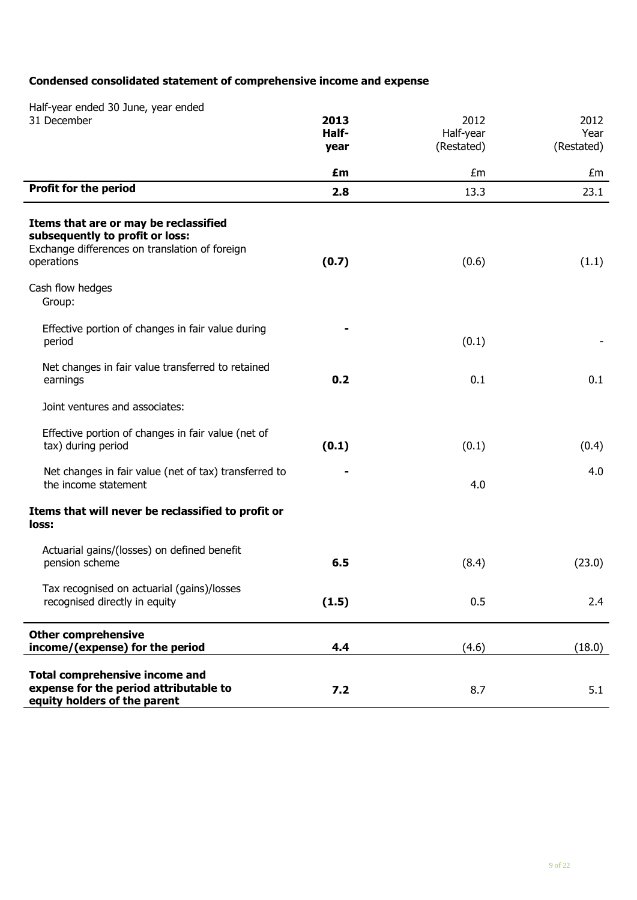# **Condensed consolidated statement of comprehensive income and expense**

| Half-year ended 30 June, year ended<br>31 December                                                                                       | 2013          | 2012                    | 2012               |
|------------------------------------------------------------------------------------------------------------------------------------------|---------------|-------------------------|--------------------|
|                                                                                                                                          | Half-<br>year | Half-year<br>(Restated) | Year<br>(Restated) |
|                                                                                                                                          |               |                         |                    |
| <b>Profit for the period</b>                                                                                                             | £m            | £m                      | £m                 |
|                                                                                                                                          | 2.8           | 13.3                    | 23.1               |
| Items that are or may be reclassified<br>subsequently to profit or loss:<br>Exchange differences on translation of foreign<br>operations | (0.7)         | (0.6)                   | (1.1)              |
| Cash flow hedges<br>Group:                                                                                                               |               |                         |                    |
| Effective portion of changes in fair value during<br>period                                                                              |               | (0.1)                   |                    |
| Net changes in fair value transferred to retained<br>earnings                                                                            | 0.2           | 0.1                     | 0.1                |
| Joint ventures and associates:                                                                                                           |               |                         |                    |
| Effective portion of changes in fair value (net of<br>tax) during period                                                                 | (0.1)         | (0.1)                   | (0.4)              |
| Net changes in fair value (net of tax) transferred to<br>the income statement                                                            |               | 4.0                     | 4.0                |
| Items that will never be reclassified to profit or<br>loss:                                                                              |               |                         |                    |
| Actuarial gains/(losses) on defined benefit<br>pension scheme                                                                            | 6.5           | (8.4)                   | (23.0)             |
| Tax recognised on actuarial (gains)/losses<br>recognised directly in equity                                                              | (1.5)         | 0.5                     | 2.4                |
| <b>Other comprehensive</b><br>income/(expense) for the period                                                                            | 4.4           | (4.6)                   | (18.0)             |
| <b>Total comprehensive income and</b><br>expense for the period attributable to<br>equity holders of the parent                          | 7.2           | 8.7                     | 5.1                |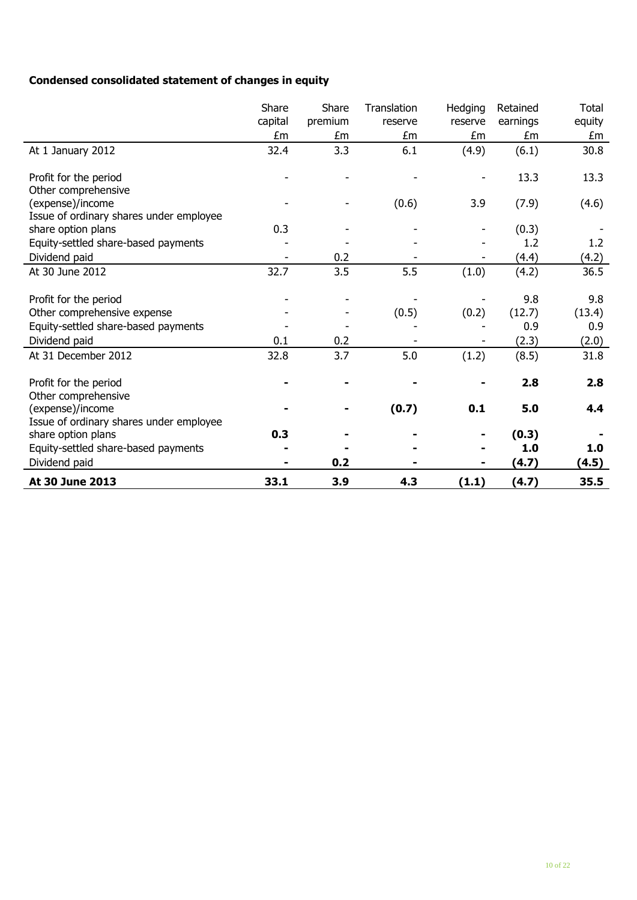# **Condensed consolidated statement of changes in equity**

|                                              | Share   | Share   | Translation | Hedging | Retained | <b>Total</b> |
|----------------------------------------------|---------|---------|-------------|---------|----------|--------------|
|                                              | capital | premium | reserve     | reserve | earnings | equity       |
|                                              | £m      | £m      | £m          | £m      | £m       | £m           |
| At 1 January 2012                            | 32.4    | 3.3     | 6.1         | (4.9)   | (6.1)    | 30.8         |
| Profit for the period                        |         |         |             |         | 13.3     | 13.3         |
| Other comprehensive                          |         |         |             |         |          |              |
| (expense)/income                             |         |         | (0.6)       | 3.9     | (7.9)    | (4.6)        |
| Issue of ordinary shares under employee      |         |         |             |         |          |              |
| share option plans                           | 0.3     |         |             |         | (0.3)    |              |
| Equity-settled share-based payments          |         |         |             |         | 1.2      | 1.2          |
| Dividend paid                                |         | 0.2     |             |         | (4.4)    | (4.2)        |
| At 30 June 2012                              | 32.7    | 3.5     | 5.5         | (1.0)   | (4.2)    | 36.5         |
|                                              |         |         |             |         |          |              |
| Profit for the period                        |         |         |             |         | 9.8      | 9.8          |
| Other comprehensive expense                  |         |         | (0.5)       | (0.2)   | (12.7)   | (13.4)       |
| Equity-settled share-based payments          |         |         |             |         | 0.9      | 0.9          |
| Dividend paid                                | 0.1     | 0.2     |             |         | (2.3)    | (2.0)        |
| At 31 December 2012                          | 32.8    | 3.7     | 5.0         | (1.2)   | (8.5)    | 31.8         |
|                                              |         |         |             |         | 2.8      | 2.8          |
| Profit for the period<br>Other comprehensive |         |         |             |         |          |              |
| (expense)/income                             |         |         | (0.7)       | 0.1     | 5.0      | 4.4          |
| Issue of ordinary shares under employee      |         |         |             |         |          |              |
| share option plans                           | 0.3     |         |             |         | (0.3)    |              |
| Equity-settled share-based payments          |         |         |             |         | 1.0      | 1.0          |
| Dividend paid                                |         | 0.2     |             |         | (4.7)    | (4.5)        |
| At 30 June 2013                              | 33.1    | 3.9     | 4.3         | (1.1)   | (4.7)    | 35.5         |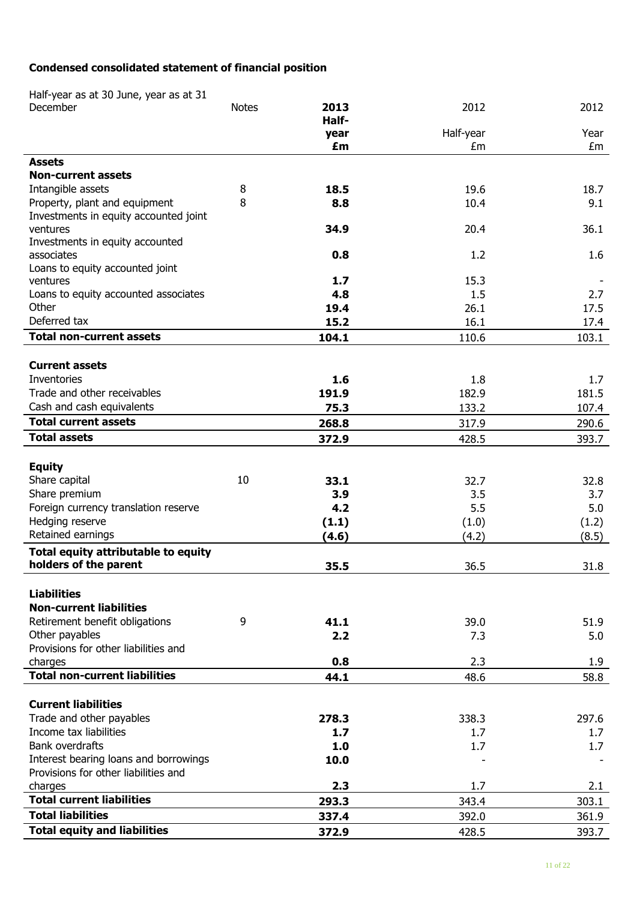# **Condensed consolidated statement of financial position**

Half-year as at 30 June, year as at 31

| December                              | <b>Notes</b> | 2013       | 2012            | 2012             |
|---------------------------------------|--------------|------------|-----------------|------------------|
|                                       |              | Half-      |                 |                  |
|                                       |              | year<br>£m | Half-year<br>£m | Year<br>£m       |
| <b>Assets</b>                         |              |            |                 |                  |
| <b>Non-current assets</b>             |              |            |                 |                  |
| Intangible assets                     | 8            | 18.5       | 19.6            | 18.7             |
| Property, plant and equipment         | 8            | 8.8        | 10.4            | 9.1              |
| Investments in equity accounted joint |              |            |                 |                  |
| ventures                              |              | 34.9       | 20.4            | 36.1             |
| Investments in equity accounted       |              |            |                 |                  |
| associates                            |              | 0.8        | 1.2             | 1.6              |
| Loans to equity accounted joint       |              |            |                 |                  |
| ventures                              |              | 1.7        | 15.3            |                  |
| Loans to equity accounted associates  |              | 4.8        | 1.5             | 2.7              |
| Other                                 |              | 19.4       | 26.1            | 17.5             |
| Deferred tax                          |              | 15.2       | 16.1            | 17.4             |
| <b>Total non-current assets</b>       |              | 104.1      | 110.6           | 103.1            |
|                                       |              |            |                 |                  |
| <b>Current assets</b>                 |              |            |                 |                  |
| Inventories                           |              | 1.6        | 1.8             | 1.7 <sub>2</sub> |
| Trade and other receivables           |              | 191.9      | 182.9           | 181.5            |
| Cash and cash equivalents             |              | 75.3       | 133.2           | 107.4            |
| <b>Total current assets</b>           |              | 268.8      | 317.9           | 290.6            |
| <b>Total assets</b>                   |              | 372.9      | 428.5           | 393.7            |
|                                       |              |            |                 |                  |
| <b>Equity</b>                         |              |            |                 |                  |
| Share capital                         | 10           | 33.1       | 32.7            | 32.8             |
| Share premium                         |              | 3.9        | 3.5             | 3.7              |
| Foreign currency translation reserve  |              | 4.2        | 5.5             | 5.0              |
| Hedging reserve                       |              | (1.1)      | (1.0)           | (1.2)            |
| Retained earnings                     |              | (4.6)      | (4.2)           | (8.5)            |
| Total equity attributable to equity   |              |            |                 |                  |
| holders of the parent                 |              | 35.5       | 36.5            | 31.8             |
|                                       |              |            |                 |                  |
| <b>Liabilities</b>                    |              |            |                 |                  |
| <b>Non-current liabilities</b>        |              |            |                 |                  |
| Retirement benefit obligations        | 9            | 41.1       | 39.0            | 51.9             |
| Other payables                        |              | 2.2        | 7.3             | 5.0              |
| Provisions for other liabilities and  |              |            |                 |                  |
| charges                               |              | 0.8        | 2.3             | 1.9              |
| <b>Total non-current liabilities</b>  |              | 44.1       | 48.6            | 58.8             |
|                                       |              |            |                 |                  |
| <b>Current liabilities</b>            |              |            |                 |                  |
| Trade and other payables              |              | 278.3      | 338.3           | 297.6            |
| Income tax liabilities                |              | 1.7        | 1.7             | 1.7              |
| <b>Bank overdrafts</b>                |              | 1.0        | 1.7             | 1.7              |
| Interest bearing loans and borrowings |              | 10.0       |                 |                  |
| Provisions for other liabilities and  |              |            |                 |                  |
| charges                               |              | 2.3        | 1.7             | 2.1              |
| <b>Total current liabilities</b>      |              | 293.3      | 343.4           | 303.1            |
| <b>Total liabilities</b>              |              | 337.4      | 392.0           | 361.9            |
| <b>Total equity and liabilities</b>   |              | 372.9      | 428.5           | 393.7            |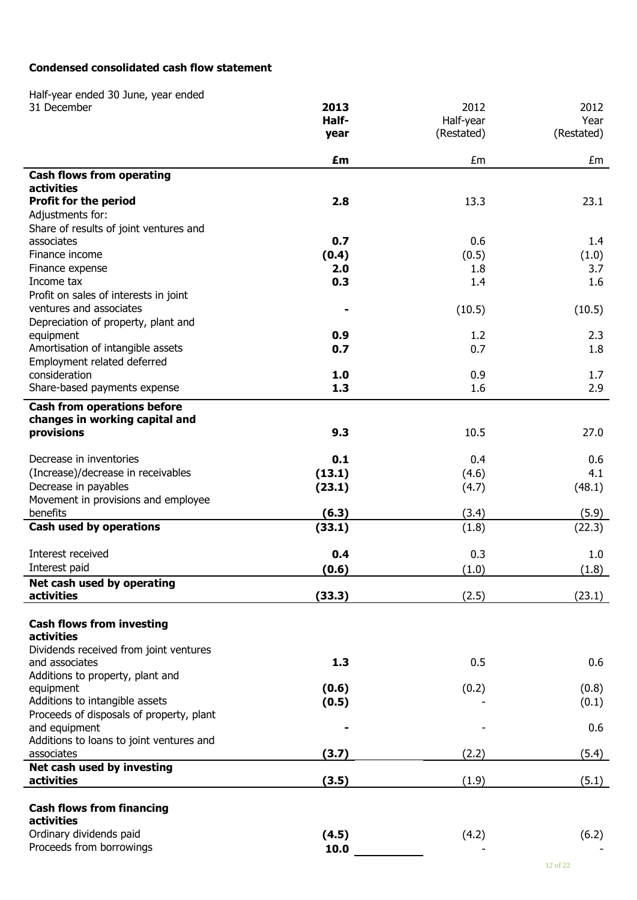### **Condensed consolidated cash flow statement**

Half -year ended 30 June, year ended 31 December **2013** 2012 2012 **Half year** Half -year (Restated) Year (Restated) **£m** £m £m **Cash flows from operating activities Profit for the period 2.8** 13.3 23.1 Adjustments for: Share of results of joint ventures and associates **0.7** 0.6 1.4 Finance income **(0.4)** (0.5) (1.0) Finance expense **2.0 2.0 1.8** 3.7 **Income tax 1.6 1.6 1.6 1.6 1.6 1.6 1.6 1.6 1.6 1.6 1.6 1.6 1.6 1.6 1.6 1.6 1.6 1.6** Profit on sales of interests in joint ventures and associates **-** (10.5) (10.5) Depreciation of property, plant and equipment **0.9** 1.2 2.3 Amortisation of intangible assets **0.7** 0.7 0.7 1.8 Employment related deferred consideration **1.0** 0.9 1.7 Share-based payments expense **1.3** 1.3 1.6 1.6 2.9 **Cash from operations before changes in working capital and provisions 9.3** 10.5 27.0 Decrease in inventories **0.1 0.4** 0.6 0.6 (Increase)/decrease in receivables **(13.1)** (4.6) 4.1 Decrease in payables **(23.1)** (4.7) (48.1)

| Decrease in payables                     | (23.1) | (4.7) | (48.I) |
|------------------------------------------|--------|-------|--------|
| Movement in provisions and employee      |        |       |        |
| benefits                                 | (6.3)  | (3.4) | (5.9)  |
| Cash used by operations                  | (33.1) | (1.8) | (22.3) |
| Interest received                        | 0.4    | 0.3   | 1.0    |
| Interest paid                            | (0.6)  | (1.0) | (1.8)  |
| Net cash used by operating               |        |       |        |
| activities                               | (33.3) | (2.5) | (23.1) |
| <b>Cash flows from investing</b>         |        |       |        |
| activities                               |        |       |        |
| Dividends received from joint ventures   |        |       |        |
| and associates                           | 1.3    | 0.5   | 0.6    |
| Additions to property, plant and         |        |       |        |
| equipment                                | (0.6)  | (0.2) | (0.8)  |
| Additions to intangible assets           | (0.5)  |       | (0.1)  |
| Proceeds of disposals of property, plant |        |       |        |
| and equipment                            |        |       | 0.6    |
| Additions to loans to joint ventures and |        |       |        |
| associates                               | (3.7)  | (2.2) | (5.4)  |
| Net cash used by investing               |        |       |        |
| activities                               | (3.5)  | (1.9) | (5.1)  |

Proceeds from borrowings **10.0** 

 $(0.1)$ 

- 0.6

-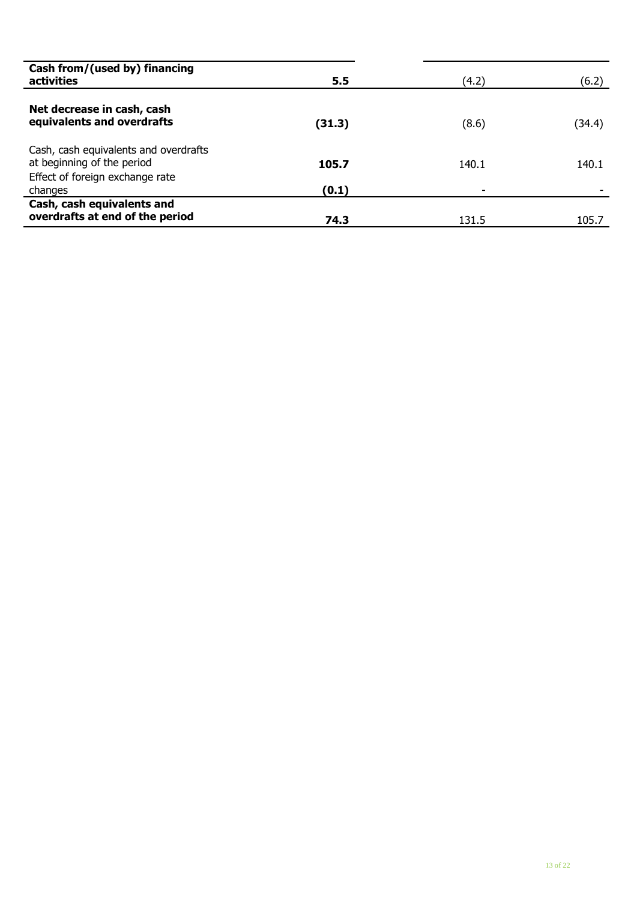| Cash from/(used by) financing<br>activities                                                            | 5.5    | (4.2) | (6.2)  |
|--------------------------------------------------------------------------------------------------------|--------|-------|--------|
| Net decrease in cash, cash<br>equivalents and overdrafts                                               | (31.3) | (8.6) | (34.4) |
| Cash, cash equivalents and overdrafts<br>at beginning of the period<br>Effect of foreign exchange rate | 105.7  | 140.1 | 140.1  |
| changes                                                                                                | (0.1)  | -     |        |
| Cash, cash equivalents and<br>overdrafts at end of the period                                          | 74.3   | 131.5 | 105.7  |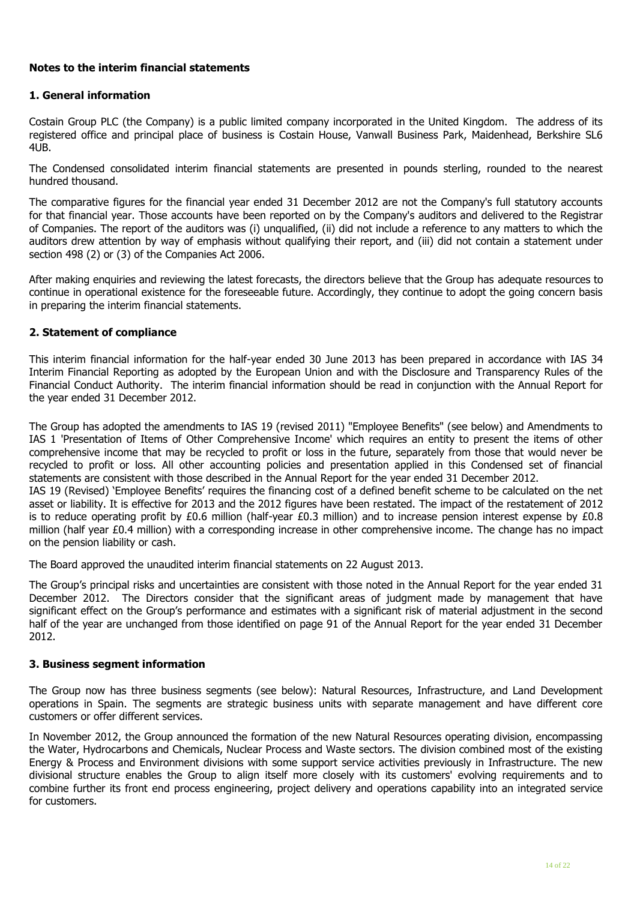#### **Notes to the interim financial statements**

#### **1. General information**

Costain Group PLC (the Company) is a public limited company incorporated in the United Kingdom. The address of its registered office and principal place of business is Costain House, Vanwall Business Park, Maidenhead, Berkshire SL6 4UB.

The Condensed consolidated interim financial statements are presented in pounds sterling, rounded to the nearest hundred thousand.

The comparative figures for the financial year ended 31 December 2012 are not the Company's full statutory accounts for that financial year. Those accounts have been reported on by the Company's auditors and delivered to the Registrar of Companies. The report of the auditors was (i) unqualified, (ii) did not include a reference to any matters to which the auditors drew attention by way of emphasis without qualifying their report, and (iii) did not contain a statement under section 498 (2) or (3) of the Companies Act 2006.

After making enquiries and reviewing the latest forecasts, the directors believe that the Group has adequate resources to continue in operational existence for the foreseeable future. Accordingly, they continue to adopt the going concern basis in preparing the interim financial statements.

#### **2. Statement of compliance**

This interim financial information for the half-year ended 30 June 2013 has been prepared in accordance with IAS 34 Interim Financial Reporting as adopted by the European Union and with the Disclosure and Transparency Rules of the Financial Conduct Authority. The interim financial information should be read in conjunction with the Annual Report for the year ended 31 December 2012.

The Group has adopted the amendments to IAS 19 (revised 2011) "Employee Benefits" (see below) and Amendments to IAS 1 'Presentation of Items of Other Comprehensive Income' which requires an entity to present the items of other comprehensive income that may be recycled to profit or loss in the future, separately from those that would never be recycled to profit or loss. All other accounting policies and presentation applied in this Condensed set of financial statements are consistent with those described in the Annual Report for the year ended 31 December 2012.

IAS 19 (Revised) 'Employee Benefits' requires the financing cost of a defined benefit scheme to be calculated on the net asset or liability. It is effective for 2013 and the 2012 figures have been restated. The impact of the restatement of 2012 is to reduce operating profit by £0.6 million (half-year £0.3 million) and to increase pension interest expense by £0.8 million (half year £0.4 million) with a corresponding increase in other comprehensive income. The change has no impact on the pension liability or cash.

The Board approved the unaudited interim financial statements on 22 August 2013.

The Group's principal risks and uncertainties are consistent with those noted in the Annual Report for the year ended 31 December 2012. The Directors consider that the significant areas of judgment made by management that have significant effect on the Group's performance and estimates with a significant risk of material adjustment in the second half of the year are unchanged from those identified on page 91 of the Annual Report for the year ended 31 December 2012.

#### **3. Business segment information**

The Group now has three business segments (see below): Natural Resources, Infrastructure, and Land Development operations in Spain. The segments are strategic business units with separate management and have different core customers or offer different services.

In November 2012, the Group announced the formation of the new Natural Resources operating division, encompassing the Water, Hydrocarbons and Chemicals, Nuclear Process and Waste sectors. The division combined most of the existing Energy & Process and Environment divisions with some support service activities previously in Infrastructure. The new divisional structure enables the Group to align itself more closely with its customers' evolving requirements and to combine further its front end process engineering, project delivery and operations capability into an integrated service for customers.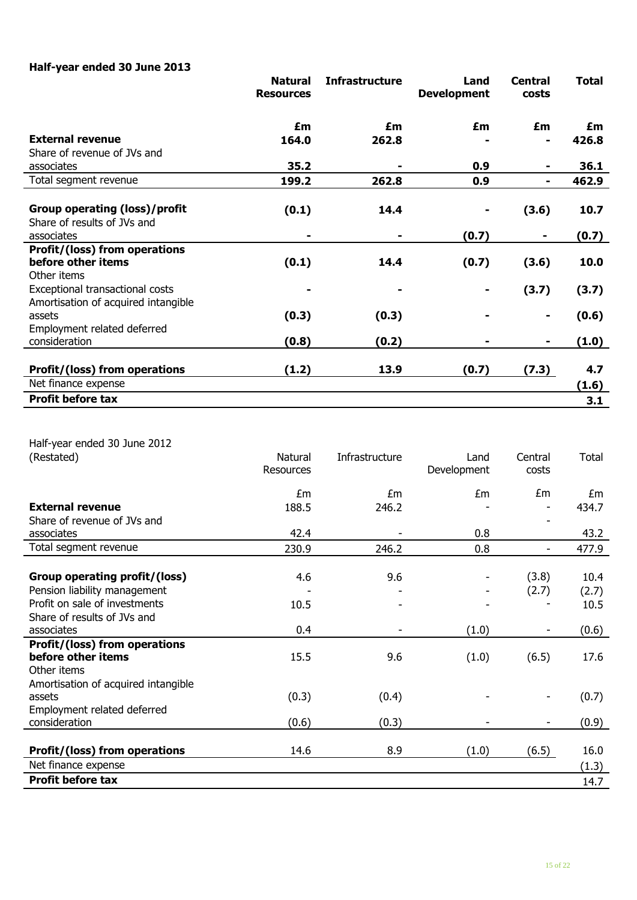# **Half-year ended 30 June 2013**

|                                     | <b>Natural</b><br><b>Resources</b> | <b>Infrastructure</b> | Land<br><b>Development</b> | <b>Central</b><br>costs | <b>Total</b> |
|-------------------------------------|------------------------------------|-----------------------|----------------------------|-------------------------|--------------|
|                                     | £m                                 | £m                    | £m                         | £m                      | £m           |
| <b>External revenue</b>             | 164.0                              | 262.8                 |                            |                         | 426.8        |
| Share of revenue of JVs and         |                                    |                       |                            |                         |              |
| associates                          | 35.2                               |                       | 0.9                        |                         | 36.1         |
| Total segment revenue               | 199.2                              | 262.8                 | 0.9                        |                         | 462.9        |
|                                     |                                    |                       |                            |                         |              |
| Group operating (loss)/profit       | (0.1)                              | 14.4                  |                            | (3.6)                   | 10.7         |
| Share of results of JVs and         |                                    |                       |                            |                         |              |
| associates                          | $\qquad \qquad \blacksquare$       |                       | (0.7)                      |                         | (0.7)        |
| Profit/(loss) from operations       |                                    |                       |                            |                         |              |
| before other items                  | (0.1)                              | 14.4                  | (0.7)                      | (3.6)                   | 10.0         |
| Other items                         |                                    |                       |                            |                         |              |
| Exceptional transactional costs     |                                    |                       |                            | (3.7)                   | (3.7)        |
| Amortisation of acquired intangible |                                    |                       |                            |                         |              |
| assets                              | (0.3)                              | (0.3)                 |                            | ۰                       | (0.6)        |
| Employment related deferred         |                                    |                       |                            |                         |              |
| consideration                       | (0.8)                              | (0.2)                 |                            |                         | (1.0)        |
|                                     |                                    |                       |                            |                         |              |
| Profit/(loss) from operations       | (1.2)                              | 13.9                  | (0.7)                      | (7.3)                   | 4.7          |
| Net finance expense                 |                                    |                       |                            |                         | (1.6)        |
| <b>Profit before tax</b>            |                                    |                       |                            |                         | 3.1          |
|                                     |                                    |                       |                            |                         |              |

| Half-year ended 30 June 2012 |  |
|------------------------------|--|
| (Restated)                   |  |

| (Restated)                          | Natural   | Infrastructure | Land        | Central | Total |
|-------------------------------------|-----------|----------------|-------------|---------|-------|
|                                     | Resources |                | Development | costs   |       |
|                                     | £m        | £m             | £m          | £m      | £m    |
| <b>External revenue</b>             | 188.5     | 246.2          |             |         | 434.7 |
| Share of revenue of JVs and         |           |                |             |         |       |
| associates                          | 42.4      |                | 0.8         |         | 43.2  |
| Total segment revenue               | 230.9     | 246.2          | 0.8         |         | 477.9 |
|                                     |           |                |             |         |       |
| Group operating profit/(loss)       | 4.6       | 9.6            |             | (3.8)   | 10.4  |
| Pension liability management        |           |                |             | (2.7)   | (2.7) |
| Profit on sale of investments       | 10.5      |                |             |         | 10.5  |
| Share of results of JVs and         |           |                |             |         |       |
| associates                          | 0.4       |                | (1.0)       |         | (0.6) |
| Profit/(loss) from operations       |           |                |             |         |       |
| before other items                  | 15.5      | 9.6            | (1.0)       | (6.5)   | 17.6  |
| Other items                         |           |                |             |         |       |
| Amortisation of acquired intangible |           |                |             |         |       |
| assets                              | (0.3)     | (0.4)          |             |         | (0.7) |
| Employment related deferred         |           |                |             |         |       |
| consideration                       | (0.6)     | (0.3)          |             |         | (0.9) |
|                                     |           |                |             |         |       |
| Profit/(loss) from operations       | 14.6      | 8.9            | (1.0)       | (6.5)   | 16.0  |
| Net finance expense                 |           |                |             |         | (1.3) |
| <b>Profit before tax</b>            |           |                |             |         | 14.7  |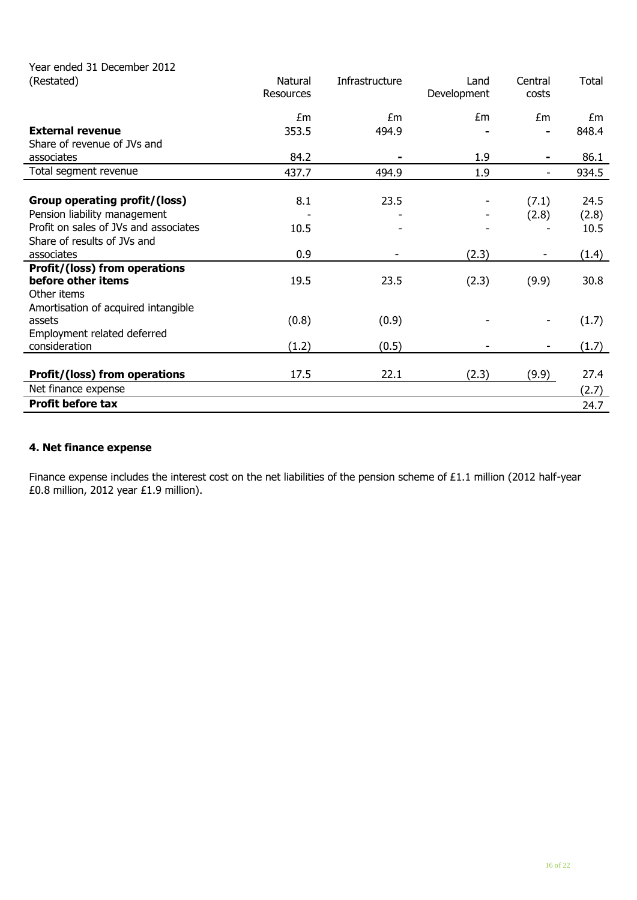| Year ended 31 December 2012<br>(Restated) | Natural<br>Resources | Infrastructure | Land<br>Development | Central<br>costs         | Total |
|-------------------------------------------|----------------------|----------------|---------------------|--------------------------|-------|
|                                           | £m                   | £m             | £m                  | Em                       | £m    |
| <b>External revenue</b>                   | 353.5                | 494.9          |                     |                          | 848.4 |
| Share of revenue of JVs and               |                      |                |                     |                          |       |
| associates                                | 84.2                 |                | 1.9                 |                          | 86.1  |
| Total segment revenue                     | 437.7                | 494.9          | 1.9                 | $\overline{\phantom{0}}$ | 934.5 |
|                                           |                      |                |                     |                          |       |
| Group operating profit/(loss)             | 8.1                  | 23.5           |                     | (7.1)                    | 24.5  |
| Pension liability management              |                      |                |                     | (2.8)                    | (2.8) |
| Profit on sales of JVs and associates     | 10.5                 |                |                     |                          | 10.5  |
| Share of results of JVs and               |                      |                |                     |                          |       |
| associates                                | 0.9                  |                | (2.3)               |                          | (1.4) |
| Profit/(loss) from operations             |                      |                |                     |                          |       |
| before other items                        | 19.5                 | 23.5           | (2.3)               | (9.9)                    | 30.8  |
| Other items                               |                      |                |                     |                          |       |
| Amortisation of acquired intangible       |                      |                |                     |                          |       |
| assets                                    | (0.8)                | (0.9)          |                     |                          | (1.7) |
| Employment related deferred               |                      |                |                     |                          |       |
| consideration                             | (1.2)                | (0.5)          |                     |                          | (1.7) |
|                                           |                      |                |                     |                          |       |
| Profit/(loss) from operations             | 17.5                 | 22.1           | (2.3)               | (9.9)                    | 27.4  |
| Net finance expense                       |                      |                |                     |                          | (2.7) |
| <b>Profit before tax</b>                  |                      |                |                     |                          | 24.7  |

## **4. Net finance expense**

Finance expense includes the interest cost on the net liabilities of the pension scheme of £1.1 million (2012 half-year £0.8 million, 2012 year £1.9 million).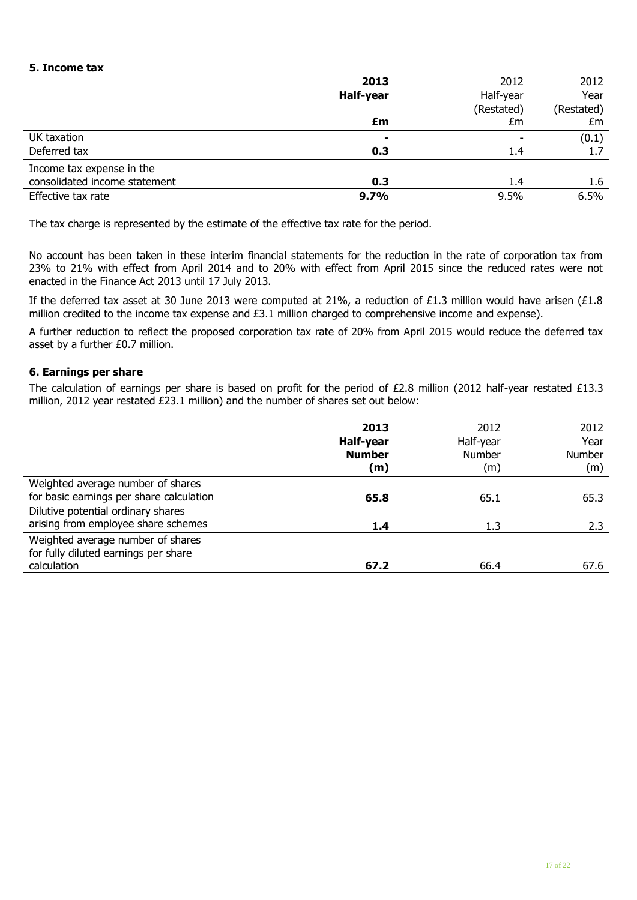#### **5. Income tax**

|                               | 2013           | 2012       | 2012       |
|-------------------------------|----------------|------------|------------|
|                               | Half-year      | Half-year  | Year       |
|                               |                | (Restated) | (Restated) |
|                               | £m             | £m         | £m         |
| UK taxation                   | $\blacksquare$ |            | (0.1)      |
| Deferred tax                  | 0.3            | 1.4        | 1.7        |
| Income tax expense in the     |                |            |            |
| consolidated income statement | 0.3            | 1.4        | 1.6        |
| Effective tax rate            | 9.7%           | 9.5%       | 6.5%       |

The tax charge is represented by the estimate of the effective tax rate for the period.

No account has been taken in these interim financial statements for the reduction in the rate of corporation tax from 23% to 21% with effect from April 2014 and to 20% with effect from April 2015 since the reduced rates were not enacted in the Finance Act 2013 until 17 July 2013.

If the deferred tax asset at 30 June 2013 were computed at 21%, a reduction of £1.3 million would have arisen (£1.8 million credited to the income tax expense and £3.1 million charged to comprehensive income and expense).

A further reduction to reflect the proposed corporation tax rate of 20% from April 2015 would reduce the deferred tax asset by a further £0.7 million.

#### **6. Earnings per share**

The calculation of earnings per share is based on profit for the period of £2.8 million (2012 half-year restated £13.3 million, 2012 year restated £23.1 million) and the number of shares set out below:

|                                                                                                                                                            | 2013<br>Half-year<br><b>Number</b><br>(m) | 2012<br>Half-year<br>Number<br>(m) | 2012<br>Year<br><b>Number</b><br>(m) |
|------------------------------------------------------------------------------------------------------------------------------------------------------------|-------------------------------------------|------------------------------------|--------------------------------------|
| Weighted average number of shares<br>for basic earnings per share calculation<br>Dilutive potential ordinary shares<br>arising from employee share schemes | 65.8<br>1.4                               | 65.1<br>1.3                        | 65.3<br>2.3                          |
| Weighted average number of shares<br>for fully diluted earnings per share<br>calculation                                                                   | 67.2                                      | 66.4                               | 67.6                                 |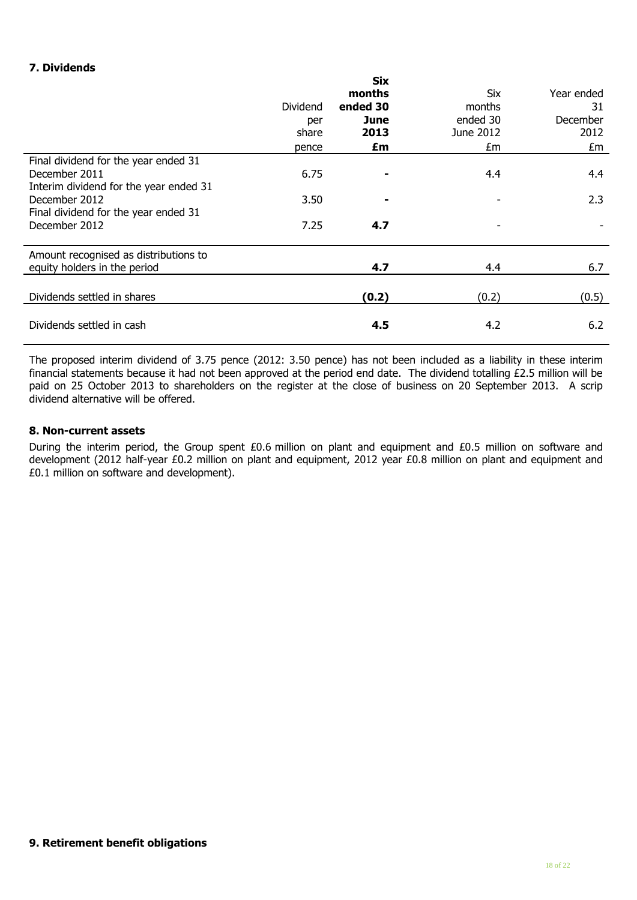### **7. Dividends**

|                                                                                                 | <b>Dividend</b><br>per<br>share<br>pence | <b>Six</b><br>months<br>ended 30<br>June<br>2013<br>£m | Six<br>months<br>ended 30<br>June 2012<br>£m | Year ended<br>31<br>December<br>2012<br>£m |
|-------------------------------------------------------------------------------------------------|------------------------------------------|--------------------------------------------------------|----------------------------------------------|--------------------------------------------|
| Final dividend for the year ended 31<br>December 2011<br>Interim dividend for the year ended 31 | 6.75                                     |                                                        | 4.4                                          | 4.4                                        |
| December 2012<br>Final dividend for the year ended 31                                           | 3.50                                     |                                                        |                                              | 2.3                                        |
| December 2012                                                                                   | 7.25                                     | 4.7                                                    |                                              |                                            |
| Amount recognised as distributions to<br>equity holders in the period                           |                                          | 4.7                                                    | 4.4                                          | 6.7                                        |
| Dividends settled in shares                                                                     |                                          | (0.2)                                                  | (0.2)                                        | (0.5)                                      |
| Dividends settled in cash                                                                       |                                          | 4.5                                                    | 4.2                                          | 6.2                                        |

The proposed interim dividend of 3.75 pence (2012: 3.50 pence) has not been included as a liability in these interim financial statements because it had not been approved at the period end date. The dividend totalling £2.5 million will be paid on 25 October 2013 to shareholders on the register at the close of business on 20 September 2013. A scrip dividend alternative will be offered.

#### **8. Non-current assets**

During the interim period, the Group spent £0.6 million on plant and equipment and £0.5 million on software and development (2012 half-year £0.2 million on plant and equipment, 2012 year £0.8 million on plant and equipment and £0.1 million on software and development).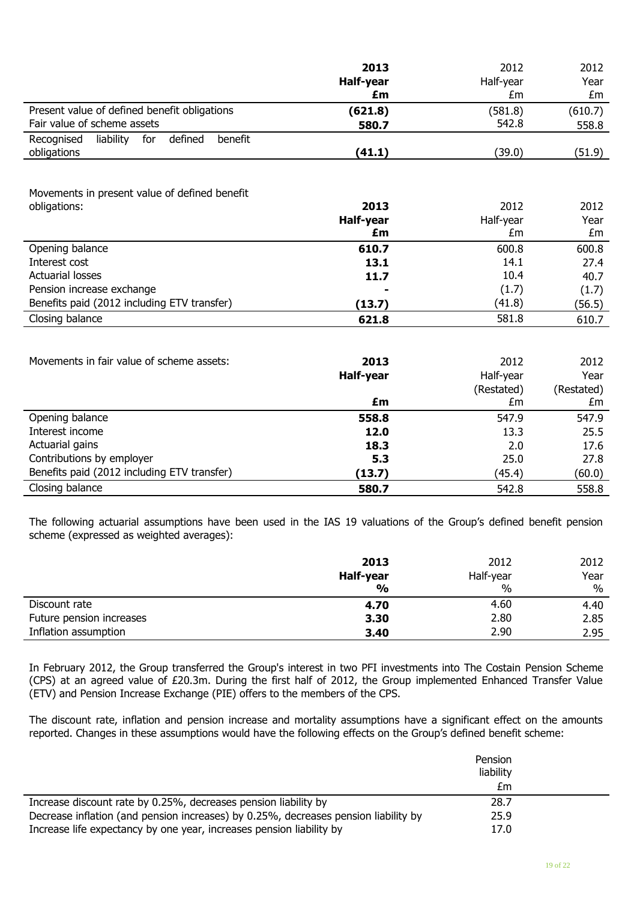|                                                      | 2013      | 2012      | 2012    |
|------------------------------------------------------|-----------|-----------|---------|
|                                                      | Half-year | Half-year | Year    |
|                                                      | £m        | £m        | £m      |
| Present value of defined benefit obligations         | (621.8)   | (581.8)   | (610.7) |
| Fair value of scheme assets                          | 580.7     | 542.8     | 558.8   |
| liability<br>Recognised<br>for<br>defined<br>benefit |           |           |         |
| obligations                                          | (41.1)    | (39.0)    | (51.9)  |

#### Movements in present value of defined benefit

| obligations:                                | 2013      | 2012      | 2012   |
|---------------------------------------------|-----------|-----------|--------|
|                                             | Half-year | Half-year | Year   |
|                                             | £m        | £m        | £m     |
| Opening balance                             | 610.7     | 600.8     | 600.8  |
| Interest cost                               | 13.1      | 14.1      | 27.4   |
| <b>Actuarial losses</b>                     | 11.7      | 10.4      | 40.7   |
| Pension increase exchange                   | ۰         | (1.7)     | (1.7)  |
| Benefits paid (2012 including ETV transfer) | (13.7)    | (41.8)    | (56.5) |
| Closing balance                             | 621.8     | 581.8     | 610.7  |

| Movements in fair value of scheme assets:   | 2013<br>Half-year | 2012<br>Half-year<br>(Restated) | 2012<br>Year<br>(Restated) |
|---------------------------------------------|-------------------|---------------------------------|----------------------------|
|                                             | £m                | £m                              | £m                         |
| Opening balance                             | 558.8             | 547.9                           | 547.9                      |
| Interest income                             | 12.0              | 13.3                            | 25.5                       |
| Actuarial gains                             | 18.3              | 2.0                             | 17.6                       |
| Contributions by employer                   | 5.3               | 25.0                            | 27.8                       |
| Benefits paid (2012 including ETV transfer) | (13.7)            | (45.4)                          | (60.0)                     |
| Closing balance                             | 580.7             | 542.8                           | 558.8                      |

The following actuarial assumptions have been used in the IAS 19 valuations of the Group's defined benefit pension scheme (expressed as weighted averages):

|                          | 2013<br>Half-year | 2012<br>Half-year | 2012<br>Year |
|--------------------------|-------------------|-------------------|--------------|
|                          | $\frac{0}{0}$     | %                 | $\%$         |
| Discount rate            | 4.70              | 4.60              | 4.40         |
| Future pension increases | 3.30              | 2.80              | 2.85         |
| Inflation assumption     | 3.40              | 2.90              | 2.95         |

In February 2012, the Group transferred the Group's interest in two PFI investments into The Costain Pension Scheme (CPS) at an agreed value of £20.3m. During the first half of 2012, the Group implemented Enhanced Transfer Value (ETV) and Pension Increase Exchange (PIE) offers to the members of the CPS.

The discount rate, inflation and pension increase and mortality assumptions have a significant effect on the amounts reported. Changes in these assumptions would have the following effects on the Group's defined benefit scheme:

|                                                                                     | Pension<br>liability |  |
|-------------------------------------------------------------------------------------|----------------------|--|
|                                                                                     | £m                   |  |
| Increase discount rate by 0.25%, decreases pension liability by                     | 28.7                 |  |
| Decrease inflation (and pension increases) by 0.25%, decreases pension liability by | 25.9                 |  |
| Increase life expectancy by one year, increases pension liability by                | 17.0                 |  |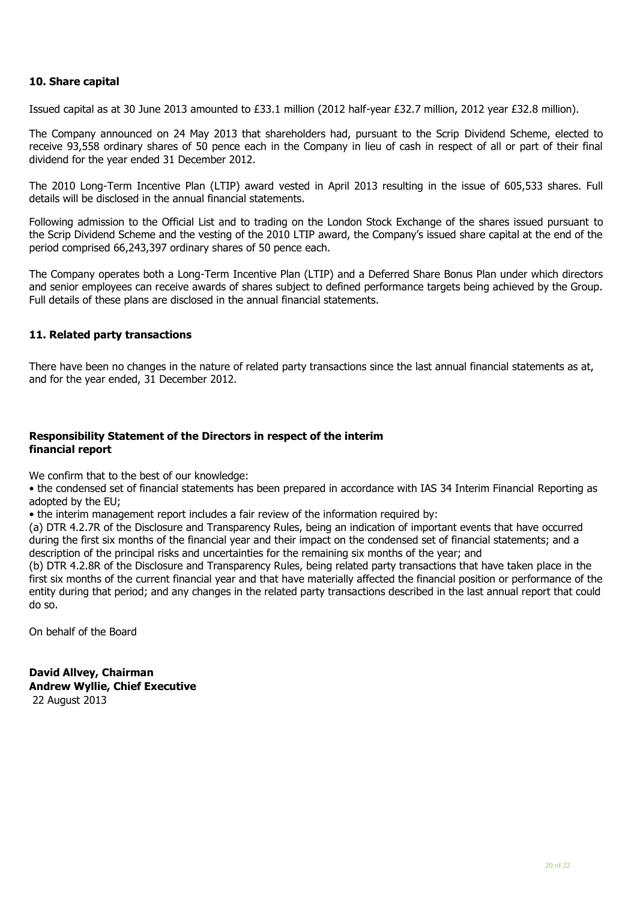#### **10. Share capital**

Issued capital as at 30 June 2013 amounted to £33.1 million (2012 half-year £32.7 million, 2012 year £32.8 million).

The Company announced on 24 May 2013 that shareholders had, pursuant to the Scrip Dividend Scheme, elected to receive 93,558 ordinary shares of 50 pence each in the Company in lieu of cash in respect of all or part of their final dividend for the year ended 31 December 2012.

The 2010 Long-Term Incentive Plan (LTIP) award vested in April 2013 resulting in the issue of 605,533 shares. Full details will be disclosed in the annual financial statements.

Following admission to the Official List and to trading on the London Stock Exchange of the shares issued pursuant to the Scrip Dividend Scheme and the vesting of the 2010 LTIP award, the Company's issued share capital at the end of the period comprised 66,243,397 ordinary shares of 50 pence each.

The Company operates both a Long-Term Incentive Plan (LTIP) and a Deferred Share Bonus Plan under which directors and senior employees can receive awards of shares subject to defined performance targets being achieved by the Group. Full details of these plans are disclosed in the annual financial statements.

#### **11. Related party transactions**

There have been no changes in the nature of related party transactions since the last annual financial statements as at, and for the year ended, 31 December 2012.

#### **Responsibility Statement of the Directors in respect of the interim financial report**

We confirm that to the best of our knowledge:

• the condensed set of financial statements has been prepared in accordance with IAS 34 Interim Financial Reporting as adopted by the EU;

• the interim management report includes a fair review of the information required by:

(a) DTR 4.2.7R of the Disclosure and Transparency Rules, being an indication of important events that have occurred during the first six months of the financial year and their impact on the condensed set of financial statements; and a description of the principal risks and uncertainties for the remaining six months of the year; and

(b) DTR 4.2.8R of the Disclosure and Transparency Rules, being related party transactions that have taken place in the first six months of the current financial year and that have materially affected the financial position or performance of the entity during that period; and any changes in the related party transactions described in the last annual report that could do so.

On behalf of the Board

**David Allvey, Chairman Andrew Wyllie, Chief Executive** 22 August 2013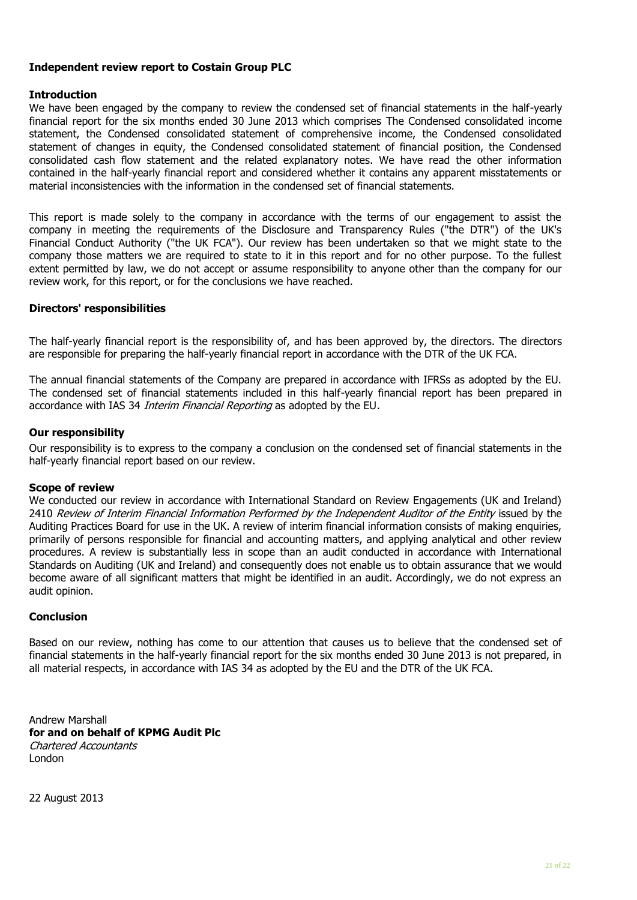#### **Independent review report to Costain Group PLC**

#### **Introduction**

We have been engaged by the company to review the condensed set of financial statements in the half-yearly financial report for the six months ended 30 June 2013 which comprises The Condensed consolidated income statement, the Condensed consolidated statement of comprehensive income, the Condensed consolidated statement of changes in equity, the Condensed consolidated statement of financial position, the Condensed consolidated cash flow statement and the related explanatory notes. We have read the other information contained in the half-yearly financial report and considered whether it contains any apparent misstatements or material inconsistencies with the information in the condensed set of financial statements.

This report is made solely to the company in accordance with the terms of our engagement to assist the company in meeting the requirements of the Disclosure and Transparency Rules ("the DTR") of the UK's Financial Conduct Authority ("the UK FCA"). Our review has been undertaken so that we might state to the company those matters we are required to state to it in this report and for no other purpose. To the fullest extent permitted by law, we do not accept or assume responsibility to anyone other than the company for our review work, for this report, or for the conclusions we have reached.

#### **Directors' responsibilities**

The half-yearly financial report is the responsibility of, and has been approved by, the directors. The directors are responsible for preparing the half-yearly financial report in accordance with the DTR of the UK FCA.

The annual financial statements of the Company are prepared in accordance with IFRSs as adopted by the EU. The condensed set of financial statements included in this half-yearly financial report has been prepared in accordance with IAS 34 *Interim Financial Reporting* as adopted by the EU.

#### **Our responsibility**

Our responsibility is to express to the company a conclusion on the condensed set of financial statements in the half-yearly financial report based on our review.

#### **Scope of review**

We conducted our review in accordance with International Standard on Review Engagements (UK and Ireland) 2410 Review of Interim Financial Information Performed by the Independent Auditor of the Entity issued by the Auditing Practices Board for use in the UK. A review of interim financial information consists of making enquiries, primarily of persons responsible for financial and accounting matters, and applying analytical and other review procedures. A review is substantially less in scope than an audit conducted in accordance with International Standards on Auditing (UK and Ireland) and consequently does not enable us to obtain assurance that we would become aware of all significant matters that might be identified in an audit. Accordingly, we do not express an audit opinion.

#### **Conclusion**

Based on our review, nothing has come to our attention that causes us to believe that the condensed set of financial statements in the half-yearly financial report for the six months ended 30 June 2013 is not prepared, in all material respects, in accordance with IAS 34 as adopted by the EU and the DTR of the UK FCA.

Andrew Marshall **for and on behalf of KPMG Audit Plc** Chartered Accountants London

22 August 2013